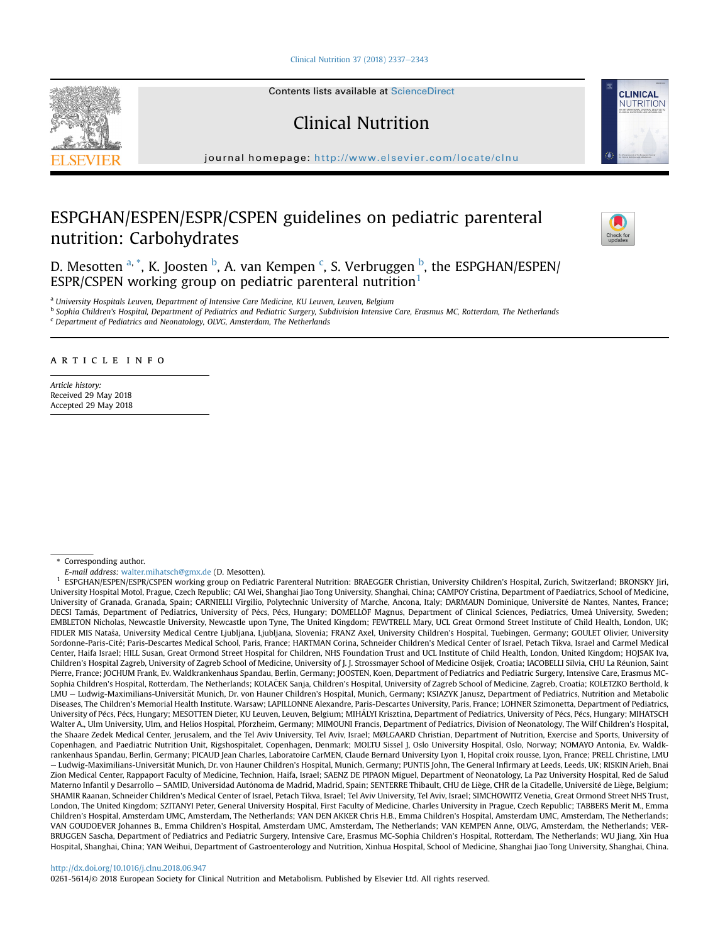[Clinical Nutrition 37 \(2018\) 2337](https://doi.org/10.1016/j.clnu.2018.06.947)-[2343](https://doi.org/10.1016/j.clnu.2018.06.947)



Contents lists available at ScienceDirect

# Clinical Nutrition

journal homepage: <http://www.elsevier.com/locate/clnu>

# ESPGHAN/ESPEN/ESPR/CSPEN guidelines on pediatric parenteral nutrition: Carbohydrates



**CLINICAL** NUTRITION

D. Mesotten <sup>a, \*</sup>, K. Joosten <sup>b</sup>, A. van Kempen <sup>c</sup>, S. Verbruggen <sup>b</sup>, the ESPGHAN/ESPEN/ ESPR/CSPEN working group on pediatric parenteral nutrition $<sup>1</sup>$ </sup>

a University Hospitals Leuven, Department of Intensive Care Medicine, KU Leuven, Leuven, Belgium

<sup>b</sup> Sophia Children's Hospital, Department of Pediatrics and Pediatric Surgery, Subdivision Intensive Care, Erasmus MC, Rotterdam, The Netherlands

 $c$  Department of Pediatrics and Neonatology, OLVG, Amsterdam, The Netherlands

# article info

Article history: Received 29 May 2018 Accepted 29 May 2018

\* Corresponding author.

E-mail address: [walter.mihatsch@gmx.de](mailto:walter.mihatsch@gmx.de) (D. Mesotten).

<sup>1</sup> ESPGHAN/ESPEN/ESPR/CSPEN working group on Pediatric Parenteral Nutrition: BRAEGGER Christian, University Children's Hospital, Zurich, Switzerland; BRONSKY Jiri, University Hospital Motol, Prague, Czech Republic; CAI Wei, Shanghai Jiao Tong University, Shanghai, China; CAMPOY Cristina, Department of Paediatrics, School of Medicine, University of Granada, Granada, Spain; CARNIELLI Virgilio, Polytechnic University of Marche, Ancona, Italy; DARMAUN Dominique, Universite de Nantes, Nantes, France; DECSI Tamás, Department of Pediatrics, University of Pécs, Pécs, Hungary; DOMELLÖF Magnus, Department of Clinical Sciences, Pediatrics, Umeå University, Sweden; EMBLETON Nicholas, Newcastle University, Newcastle upon Tyne, The United Kingdom; FEWTRELL Mary, UCL Great Ormond Street Institute of Child Health, London, UK; FIDLER MIS Natasa, University Medical Centre Ljubljana, Ljubljana, Slovenia; FRANZ Axel, University Children's Hospital, Tuebingen, Germany; GOULET Olivier, University Sordonne-Paris-Cité; Paris-Descartes Medical School, Paris, France; HARTMAN Corina, Schneider Children's Medical Center of Israel, Petach Tikva, Israel and Carmel Medical Center, Haifa Israel; HILL Susan, Great Ormond Street Hospital for Children, NHS Foundation Trust and UCL Institute of Child Health, London, United Kingdom; HOJSAK Iva, Children's Hospital Zagreb, University of Zagreb School of Medicine, University of J. J. Strossmayer School of Medicine Osijek, Croatia; IACOBELLI Silvia, CHU La Reunion, Saint Pierre, France; JOCHUM Frank, Ev. Waldkrankenhaus Spandau, Berlin, Germany; JOOSTEN, Koen, Department of Pediatrics and Pediatric Surgery, Intensive Care, Erasmus MC-Sophia Children's Hospital, Rotterdam, The Netherlands; KOLAČEK Sanja, Children's Hospital, University of Zagreb School of Medicine, Zagreb, Croatia; KOLETZKO Berthold, k LMU - Ludwig-Maximilians-Universität Munich, Dr. von Hauner Children's Hospital, Munich, Germany; KSIAZYK Janusz, Department of Pediatrics, Nutrition and Metabolic Diseases, The Children's Memorial Health Institute. Warsaw; LAPILLONNE Alexandre, Paris-Descartes University, Paris, France; LOHNER Szimonetta, Department of Pediatrics, University of Pécs, Pécs, Hungary; MESOTTEN Dieter, KU Leuven, Leuven, Belgium; MIHÁLYI Krisztina, Department of Pediatrics, University of Pécs, Pécs, Hungary; MIHATSCH Walter A., Ulm University, Ulm, and Helios Hospital, Pforzheim, Germany; MIMOUNI Francis, Department of Pediatrics, Division of Neonatology, The Wilf Children's Hospital, the Shaare Zedek Medical Center, Jerusalem, and the Tel Aviv University, Tel Aviv, Israel; MØLGAARD Christian, Department of Nutrition, Exercise and Sports, University of Copenhagen, and Paediatric Nutrition Unit, Rigshospitalet, Copenhagen, Denmark; MOLTU Sissel J, Oslo University Hospital, Oslo, Norway; NOMAYO Antonia, Ev. Waldkrankenhaus Spandau, Berlin, Germany; PICAUD Jean Charles, Laboratoire CarMEN, Claude Bernard University Lyon 1, Hopital croix rousse, Lyon, France; PRELL Christine, LMU – Ludwig-Maximilians-Universität Munich, Dr. von Hauner Children's Hospital, Munich, Germany; PUNTIS John, The General Infirmary at Leeds, Leeds, UK; RISKIN Arieh, Bnai Zion Medical Center, Rappaport Faculty of Medicine, Technion, Haifa, Israel; SAENZ DE PIPAON Miguel, Department of Neonatology, La Paz University Hospital, Red de Salud Materno Infantil y Desarrollo - SAMID, Universidad Autónoma de Madrid, Madrid, Spain; SENTERRE Thibault, CHU de Liège, CHR de la Citadelle, Université de Liège, Belgium; SHAMIR Raanan, Schneider Children's Medical Center of Israel, Petach Tikva, Israel; Tel Aviv University, Tel Aviv, Israel; SIMCHOWITZ Venetia, Great Ormond Street NHS Trust, London, The United Kingdom; SZITANYI Peter, General University Hospital, First Faculty of Medicine, Charles University in Prague, Czech Republic; TABBERS Merit M., Emma Children's Hospital, Amsterdam UMC, Amsterdam, The Netherlands; VAN DEN AKKER Chris H.B., Emma Children's Hospital, Amsterdam UMC, Amsterdam, The Netherlands; VAN GOUDOEVER Johannes B., Emma Children's Hospital, Amsterdam UMC, Amsterdam, The Netherlands; VAN KEMPEN Anne, OLVG, Amsterdam, the Netherlands; VER-BRUGGEN Sascha, Department of Pediatrics and Pediatric Surgery, Intensive Care, Erasmus MC-Sophia Children's Hospital, Rotterdam, The Netherlands; WU Jiang, Xin Hua Hospital, Shanghai, China; YAN Weihui, Department of Gastroenterology and Nutrition, Xinhua Hospital, School of Medicine, Shanghai Jiao Tong University, Shanghai, China.

## [http://dx.doi.org/10.1016/j.clnu.2018.06.947](https://doi.org/10.1016/j.clnu.2018.06.947)

0261-5614/© 2018 European Society for Clinical Nutrition and Metabolism. Published by Elsevier Ltd. All rights reserved.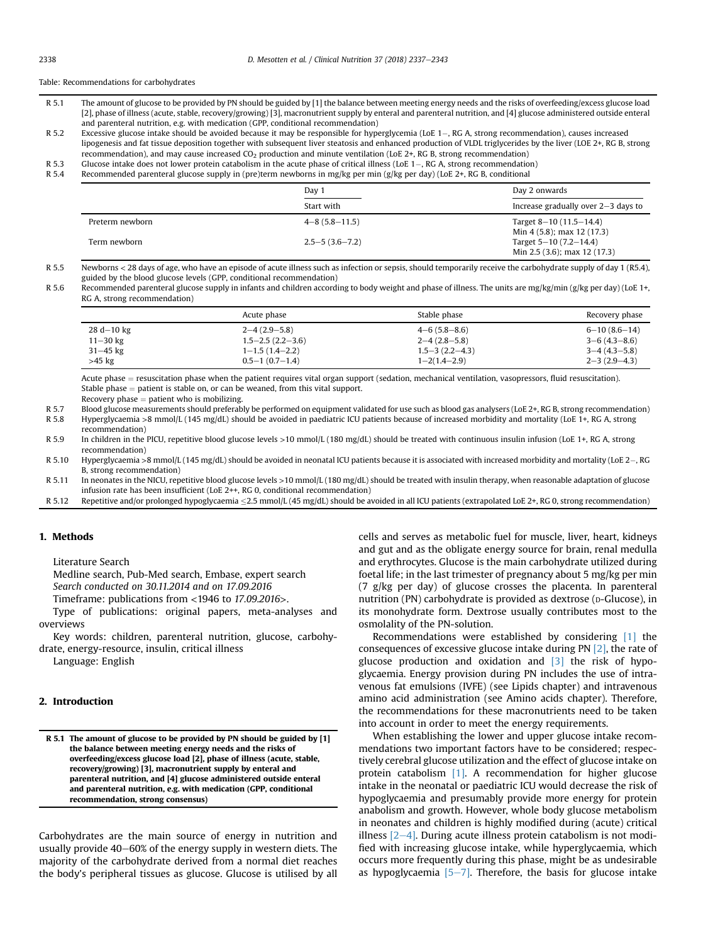## Table: Recommendations for carbohydrates

- R 5.1 The amount of glucose to be provided by PN should be guided by [1] the balance between meeting energy needs and the risks of overfeeding/excess glucose load [2], phase of illness (acute, stable, recovery/growing) [3], macronutrient supply by enteral and parenteral nutrition, and [4] glucose administered outside enteral and parenteral nutrition, e.g. with medication (GPP, conditional recommendation)
- R 5.2 Excessive glucose intake should be avoided because it may be responsible for hyperglycemia (LoE 1–, RG A, strong recommendation), causes increased lipogenesis and fat tissue deposition together with subsequent liver steatosis and enhanced production of VLDL triglycerides by the liver (LOE 2+, RG B, strong recommendation), and may cause increased CO2 production and minute ventilation (LoE 2+, RG B, strong recommendation)
- R 5.3 Glucose intake does not lower protein catabolism in the acute phase of critical illness (LoE 1–, RG A, strong recommendation)<br>R 5.4 Recommended parenteral glucose supply in (pre)term newborns in mg/kg per min (g/kg
- Recommended parenteral glucose supply in (pre)term newborns in mg/kg per min (g/kg per day) (LoE 2+, RG B, conditional

|                 | Day 1                  | Day 2 onwards                         |
|-----------------|------------------------|---------------------------------------|
|                 | Start with             | Increase gradually over $2-3$ days to |
| Preterm newborn | $4 - 8$ (5.8 $-11.5$ ) | Target $8-10(11.5-14.4)$              |
|                 |                        | Min 4 (5.8); max 12 (17.3)            |
| Term newborn    | $2.5 - 5(3.6 - 7.2)$   | Target $5-10(7.2-14.4)$               |
|                 |                        | Min 2.5 (3.6); max 12 (17.3)          |

R 5.5 Newborns < 28 days of age, who have an episode of acute illness such as infection or sepsis, should temporarily receive the carbohydrate supply of day 1 (R5.4), guided by the blood glucose levels (GPP, conditional recommendation)

R 5.6 Recommended parenteral glucose supply in infants and children according to body weight and phase of illness. The units are mg/kg/min (g/kg per day) (LoE 1+, RG A, strong recommendation)

|                | Acute phase            | Stable phase         | Recovery phase     |
|----------------|------------------------|----------------------|--------------------|
| $28 d - 10 kg$ | $2 - 4(2.9 - 5.8)$     | $4 - 6(5.8 - 8.6)$   | $6 - 10(8.6 - 14)$ |
| $11 - 30$ kg   | $1.5 - 2.5(2.2 - 3.6)$ | $2 - 4(2.8 - 5.8)$   | $3 - 6(4.3 - 8.6)$ |
| $31 - 45$ kg   | $1 - 1.5(1.4 - 2.2)$   | $1.5 - 3(2.2 - 4.3)$ | $3-4(4.3-5.8)$     |
| $>45$ kg       | $0.5-1(0.7-1.4)$       | $1 - 2(1.4 - 2.9)$   | $2 - 3(2.9 - 4.3)$ |

Acute phase = resuscitation phase when the patient requires vital organ support (sedation, mechanical ventilation, vasopressors, fluid resuscitation). Stable phase  $=$  patient is stable on, or can be weaned, from this vital support.

Recovery phase  $=$  patient who is mobilizing.

R 5.7 Blood glucose measurements should preferably be performed on equipment validated for use such as blood gas analysers (LoE 2+, RG B, strong recommendation) R 5.8 Hyperglycaemia >8 mmol/L (145 mg/dL) should be avoided in paediatric ICU patients because of increased morbidity and mortality (LoE 1+, RG A, strong

recommendation) R 5.9 In children in the PICU, repetitive blood glucose levels >10 mmol/L (180 mg/dL) should be treated with continuous insulin infusion (LoE 1+, RG A, strong

recommendation)

R 5.10 Hyperglycaemia >8 mmol/L (145 mg/dL) should be avoided in neonatal ICU patients because it is associated with increased morbidity and mortality (LoE 2-, RG B, strong recommendation)

R 5.11 In neonates in the NICU, repetitive blood glucose levels >10 mmol/L (180 mg/dL) should be treated with insulin therapy, when reasonable adaptation of glucose infusion rate has been insufficient (LoE 2++, RG 0, conditional recommendation)

R 5.12 Repetitive and/or prolonged hypoglycaemia <2.5 mmol/L (45 mg/dL) should be avoided in all ICU patients (extrapolated LoE 2+, RG 0, strong recommendation)

#### 1. Methods

Literature Search

Medline search, Pub-Med search, Embase, expert search

Search conducted on 30.11.2014 and on 17.09.2016

Timeframe: publications from <1946 to 17.09.2016>.

Type of publications: original papers, meta-analyses and overviews

Key words: children, parenteral nutrition, glucose, carbohydrate, energy-resource, insulin, critical illness

Language: English

## 2. Introduction

R 5.1 The amount of glucose to be provided by PN should be guided by [1] the balance between meeting energy needs and the risks of overfeeding/excess glucose load [2], phase of illness (acute, stable, recovery/growing) [3], macronutrient supply by enteral and parenteral nutrition, and [4] glucose administered outside enteral and parenteral nutrition, e.g. with medication (GPP, conditional recommendation, strong consensus)

Carbohydrates are the main source of energy in nutrition and usually provide 40-60% of the energy supply in western diets. The majority of the carbohydrate derived from a normal diet reaches the body's peripheral tissues as glucose. Glucose is utilised by all cells and serves as metabolic fuel for muscle, liver, heart, kidneys and gut and as the obligate energy source for brain, renal medulla and erythrocytes. Glucose is the main carbohydrate utilized during foetal life; in the last trimester of pregnancy about 5 mg/kg per min (7 g/kg per day) of glucose crosses the placenta. In parenteral nutrition (PN) carbohydrate is provided as dextrose (D-Glucose), in its monohydrate form. Dextrose usually contributes most to the osmolality of the PN-solution.

Recommendations were established by considering [\[1\]](#page-5-0) the consequences of excessive glucose intake during PN [\[2\],](#page-5-0) the rate of glucose production and oxidation and [\[3\]](#page-5-0) the risk of hypoglycaemia. Energy provision during PN includes the use of intravenous fat emulsions (IVFE) (see Lipids chapter) and intravenous amino acid administration (see Amino acids chapter). Therefore, the recommendations for these macronutrients need to be taken into account in order to meet the energy requirements.

When establishing the lower and upper glucose intake recommendations two important factors have to be considered; respectively cerebral glucose utilization and the effect of glucose intake on protein catabolism [\[1\]](#page-5-0). A recommendation for higher glucose intake in the neonatal or paediatric ICU would decrease the risk of hypoglycaemia and presumably provide more energy for protein anabolism and growth. However, whole body glucose metabolism in neonates and children is highly modified during (acute) critical illness  $[2-4]$  $[2-4]$ . During acute illness protein catabolism is not modified with increasing glucose intake, while hyperglycaemia, which occurs more frequently during this phase, might be as undesirable as hypoglycaemia  $[5-7]$  $[5-7]$  $[5-7]$ . Therefore, the basis for glucose intake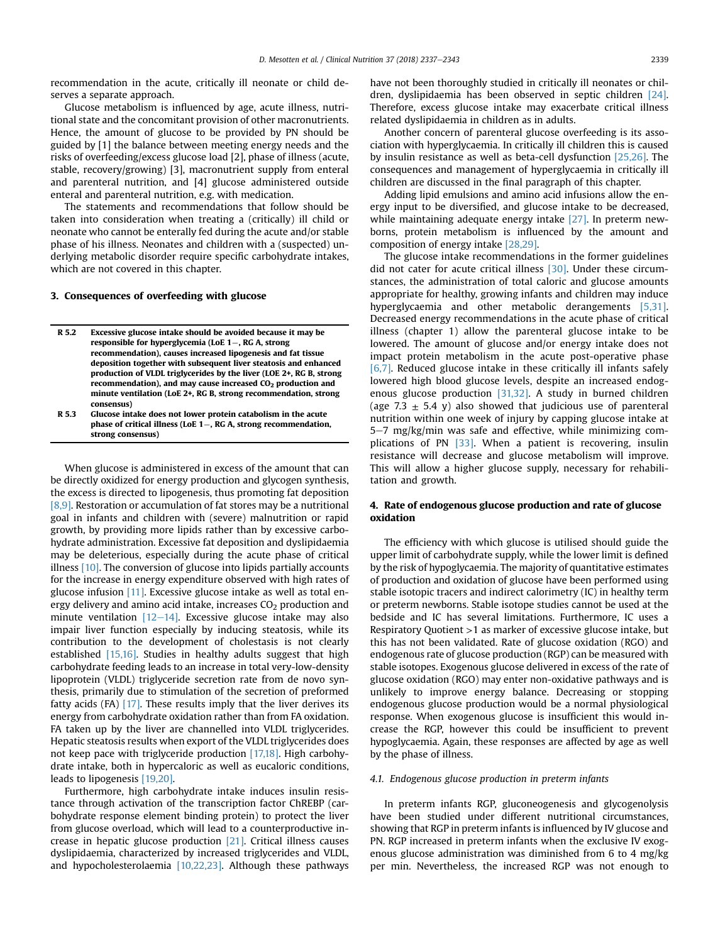recommendation in the acute, critically ill neonate or child deserves a separate approach.

Glucose metabolism is influenced by age, acute illness, nutritional state and the concomitant provision of other macronutrients. Hence, the amount of glucose to be provided by PN should be guided by [1] the balance between meeting energy needs and the risks of overfeeding/excess glucose load [2], phase of illness (acute, stable, recovery/growing) [3], macronutrient supply from enteral and parenteral nutrition, and [4] glucose administered outside enteral and parenteral nutrition, e.g. with medication.

The statements and recommendations that follow should be taken into consideration when treating a (critically) ill child or neonate who cannot be enterally fed during the acute and/or stable phase of his illness. Neonates and children with a (suspected) underlying metabolic disorder require specific carbohydrate intakes, which are not covered in this chapter.

## 3. Consequences of overfeeding with glucose

| R 5.2 | Excessive glucose intake should be avoided because it may be        |
|-------|---------------------------------------------------------------------|
|       | responsible for hyperglycemia (LoE 1–, RG A, strong                 |
|       | recommendation), causes increased lipogenesis and fat tissue        |
|       | deposition together with subsequent liver steatosis and enhanced    |
|       | production of VLDL triglycerides by the liver (LOE 2+, RG B, strong |
|       | recommendation), and may cause increased $CO2$ production and       |
|       | minute ventilation (LoE 2+, RG B, strong recommendation, strong     |
|       | consensus)                                                          |
|       |                                                                     |

R 5.3 Glucose intake does not lower protein catabolism in the acute phase of critical illness (LoE  $1-$ , RG A, strong recommendation, strong consensus)

When glucose is administered in excess of the amount that can be directly oxidized for energy production and glycogen synthesis, the excess is directed to lipogenesis, thus promoting fat deposition [\[8,9\].](#page-5-0) Restoration or accumulation of fat stores may be a nutritional goal in infants and children with (severe) malnutrition or rapid growth, by providing more lipids rather than by excessive carbohydrate administration. Excessive fat deposition and dyslipidaemia may be deleterious, especially during the acute phase of critical illness  $[10]$ . The conversion of glucose into lipids partially accounts for the increase in energy expenditure observed with high rates of glucose infusion [\[11\]](#page-5-0). Excessive glucose intake as well as total energy delivery and amino acid intake, increases  $CO<sub>2</sub>$  production and minute ventilation  $[12-14]$  $[12-14]$ . Excessive glucose intake may also impair liver function especially by inducing steatosis, while its contribution to the development of cholestasis is not clearly established [\[15,16\].](#page-5-0) Studies in healthy adults suggest that high carbohydrate feeding leads to an increase in total very-low-density lipoprotein (VLDL) triglyceride secretion rate from de novo synthesis, primarily due to stimulation of the secretion of preformed fatty acids  $(FA)$  [\[17\].](#page-5-0) These results imply that the liver derives its energy from carbohydrate oxidation rather than from FA oxidation. FA taken up by the liver are channelled into VLDL triglycerides. Hepatic steatosis results when export of the VLDL triglycerides does not keep pace with triglyceride production [\[17,18\]](#page-5-0). High carbohydrate intake, both in hypercaloric as well as eucaloric conditions, leads to lipogenesis [\[19,20\]](#page-5-0).

Furthermore, high carbohydrate intake induces insulin resistance through activation of the transcription factor ChREBP (carbohydrate response element binding protein) to protect the liver from glucose overload, which will lead to a counterproductive increase in hepatic glucose production [\[21\]](#page-5-0). Critical illness causes dyslipidaemia, characterized by increased triglycerides and VLDL, and hypocholesterolaemia [\[10,22,23\]](#page-5-0). Although these pathways have not been thoroughly studied in critically ill neonates or children, dyslipidaemia has been observed in septic children [\[24\].](#page-5-0) Therefore, excess glucose intake may exacerbate critical illness related dyslipidaemia in children as in adults.

Another concern of parenteral glucose overfeeding is its association with hyperglycaemia. In critically ill children this is caused by insulin resistance as well as beta-cell dysfunction [\[25,26\].](#page-5-0) The consequences and management of hyperglycaemia in critically ill children are discussed in the final paragraph of this chapter.

Adding lipid emulsions and amino acid infusions allow the energy input to be diversified, and glucose intake to be decreased, while maintaining adequate energy intake [\[27\].](#page-5-0) In preterm newborns, protein metabolism is influenced by the amount and composition of energy intake [\[28,29\].](#page-5-0)

The glucose intake recommendations in the former guidelines did not cater for acute critical illness [\[30\].](#page-5-0) Under these circumstances, the administration of total caloric and glucose amounts appropriate for healthy, growing infants and children may induce hyperglycaemia and other metabolic derangements [\[5,31\].](#page-5-0) Decreased energy recommendations in the acute phase of critical illness (chapter 1) allow the parenteral glucose intake to be lowered. The amount of glucose and/or energy intake does not impact protein metabolism in the acute post-operative phase [\[6,7\].](#page-5-0) Reduced glucose intake in these critically ill infants safely lowered high blood glucose levels, despite an increased endogenous glucose production [\[31,32\].](#page-5-0) A study in burned children (age 7.3  $\pm$  5.4 y) also showed that judicious use of parenteral nutrition within one week of injury by capping glucose intake at  $5-7$  mg/kg/min was safe and effective, while minimizing complications of PN [\[33\].](#page-5-0) When a patient is recovering, insulin resistance will decrease and glucose metabolism will improve. This will allow a higher glucose supply, necessary for rehabilitation and growth.

## 4. Rate of endogenous glucose production and rate of glucose oxidation

The efficiency with which glucose is utilised should guide the upper limit of carbohydrate supply, while the lower limit is defined by the risk of hypoglycaemia. The majority of quantitative estimates of production and oxidation of glucose have been performed using stable isotopic tracers and indirect calorimetry (IC) in healthy term or preterm newborns. Stable isotope studies cannot be used at the bedside and IC has several limitations. Furthermore, IC uses a Respiratory Quotient >1 as marker of excessive glucose intake, but this has not been validated. Rate of glucose oxidation (RGO) and endogenous rate of glucose production (RGP) can be measured with stable isotopes. Exogenous glucose delivered in excess of the rate of glucose oxidation (RGO) may enter non-oxidative pathways and is unlikely to improve energy balance. Decreasing or stopping endogenous glucose production would be a normal physiological response. When exogenous glucose is insufficient this would increase the RGP, however this could be insufficient to prevent hypoglycaemia. Again, these responses are affected by age as well by the phase of illness.

#### 4.1. Endogenous glucose production in preterm infants

In preterm infants RGP, gluconeogenesis and glycogenolysis have been studied under different nutritional circumstances, showing that RGP in preterm infants is influenced by IV glucose and PN. RGP increased in preterm infants when the exclusive IV exogenous glucose administration was diminished from 6 to 4 mg/kg per min. Nevertheless, the increased RGP was not enough to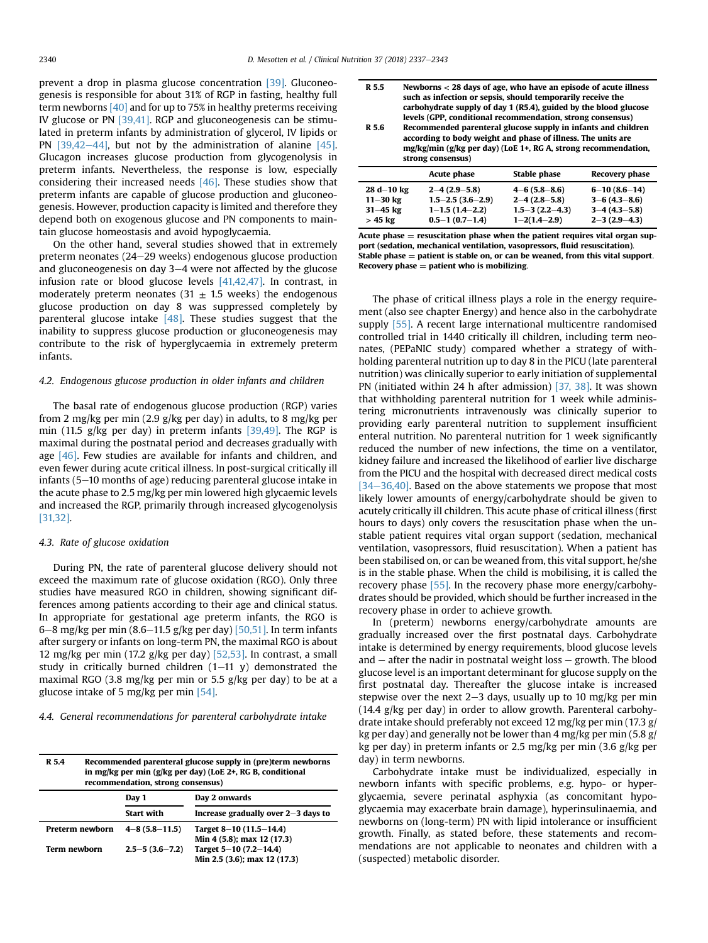prevent a drop in plasma glucose concentration [\[39\]](#page-5-0). Gluconeogenesis is responsible for about 31% of RGP in fasting, healthy full term newborns [\[40\]](#page-5-0) and for up to 75% in healthy preterms receiving IV glucose or PN [\[39,41\].](#page-5-0) RGP and gluconeogenesis can be stimulated in preterm infants by administration of glycerol, IV lipids or PN  $[39,42-44]$  $[39,42-44]$ , but not by the administration of alanine  $[45]$ . Glucagon increases glucose production from glycogenolysis in preterm infants. Nevertheless, the response is low, especially considering their increased needs [\[46\]](#page-5-0). These studies show that preterm infants are capable of glucose production and gluconeogenesis. However, production capacity is limited and therefore they depend both on exogenous glucose and PN components to maintain glucose homeostasis and avoid hypoglycaemia.

On the other hand, several studies showed that in extremely preterm neonates  $(24-29$  weeks) endogenous glucose production and gluconeogenesis on day  $3-4$  were not affected by the glucose infusion rate or blood glucose levels [\[41,42,47\].](#page-5-0) In contrast, in moderately preterm neonates (31  $\pm$  1.5 weeks) the endogenous glucose production on day 8 was suppressed completely by parenteral glucose intake [\[48\]](#page-5-0). These studies suggest that the inability to suppress glucose production or gluconeogenesis may contribute to the risk of hyperglycaemia in extremely preterm infants.

#### 4.2. Endogenous glucose production in older infants and children

The basal rate of endogenous glucose production (RGP) varies from 2 mg/kg per min (2.9 g/kg per day) in adults, to 8 mg/kg per min (11.5 g/kg per day) in preterm infants [\[39,49\]](#page-5-0). The RGP is maximal during the postnatal period and decreases gradually with age [\[46\].](#page-5-0) Few studies are available for infants and children, and even fewer during acute critical illness. In post-surgical critically ill infants  $(5-10$  months of age) reducing parenteral glucose intake in the acute phase to 2.5 mg/kg per min lowered high glycaemic levels and increased the RGP, primarily through increased glycogenolysis [\[31,32\].](#page-5-0)

#### 4.3. Rate of glucose oxidation

During PN, the rate of parenteral glucose delivery should not exceed the maximum rate of glucose oxidation (RGO). Only three studies have measured RGO in children, showing significant differences among patients according to their age and clinical status. In appropriate for gestational age preterm infants, the RGO is 6–8 mg/kg per min (8.6–11.5 g/kg per day) [\[50,51\].](#page-6-0) In term infants after surgery or infants on long-term PN, the maximal RGO is about 12 mg/kg per min (17.2 g/kg per day)  $[52,53]$ . In contrast, a small study in critically burned children  $(1-11 \text{ y})$  demonstrated the maximal RGO (3.8 mg/kg per min or 5.5 g/kg per day) to be at a glucose intake of 5 mg/kg per min [\[54\]](#page-6-0).

4.4. General recommendations for parenteral carbohydrate intake

| R 5.4        | Recommended parenteral glucose supply in (pre)term newborns<br>in mg/kg per min (g/kg per day) (LoE 2+, RG B, conditional<br>recommendation, strong consensus) |                        |                                                          |
|--------------|----------------------------------------------------------------------------------------------------------------------------------------------------------------|------------------------|----------------------------------------------------------|
|              |                                                                                                                                                                | Day 1                  | Day 2 onwards                                            |
|              |                                                                                                                                                                | <b>Start with</b>      | Increase gradually over $2-3$ days to                    |
|              | <b>Preterm newborn</b>                                                                                                                                         | $4 - 8$ (5.8 $-11.5$ ) | Target $8-10(11.5-14.4)$<br>Min 4 (5.8); max 12 (17.3)   |
| Term newborn |                                                                                                                                                                | $2.5 - 5(3.6 - 7.2)$   | Target $5-10$ (7.2-14.4)<br>Min 2.5 (3.6); max 12 (17.3) |

| R 5.5<br>R 5.6 | Newborns $<$ 28 days of age, who have an episode of acute illness<br>such as infection or sepsis, should temporarily receive the<br>carbohydrate supply of day 1 (R5.4), guided by the blood glucose<br>levels (GPP, conditional recommendation, strong consensus)<br>Recommended parenteral glucose supply in infants and children<br>according to body weight and phase of illness. The units are<br>mg/kg/min (g/kg per day) (LoE 1+, RG A, strong recommendation,<br>strong consensus) |                     |                    |
|----------------|--------------------------------------------------------------------------------------------------------------------------------------------------------------------------------------------------------------------------------------------------------------------------------------------------------------------------------------------------------------------------------------------------------------------------------------------------------------------------------------------|---------------------|--------------------|
|                | Acute phase                                                                                                                                                                                                                                                                                                                                                                                                                                                                                | <b>Stable phase</b> | Recovery phase     |
| $28 d - 10 kg$ | $2 - 4(2.9 - 5.8)$                                                                                                                                                                                                                                                                                                                                                                                                                                                                         | $4 - 6(5.8 - 8.6)$  | $6 - 10(8.6 - 14)$ |
| $11 - 30$ kg   | $1.5 - 2.5$ (3.6-2.9)                                                                                                                                                                                                                                                                                                                                                                                                                                                                      | $2 - 4(2.8 - 5.8)$  | $3 - 6$ (4.3-8.6)  |

Acute phase  $=$  resuscitation phase when the patient requires vital organ support (sedation, mechanical ventilation, vasopressors, fluid resuscitation). Stable phase  $=$  patient is stable on, or can be weaned, from this vital support. Recovery phase  $=$  patient who is mobilizing.

31-45 kg  $1-1.5 (1.4-2.2)$   $1.5-3 (2.2-4.3)$   $3-4 (4.3-5.8)$ <br>> 45 kg  $0.5-1 (0.7-1.4)$   $1-2(1.4-2.9)$   $2-3 (2.9-4.3)$ 

 $0.5 - 1$   $(0.7 - 1.4)$ 

The phase of critical illness plays a role in the energy requirement (also see chapter Energy) and hence also in the carbohydrate supply [\[55\].](#page-6-0) A recent large international multicentre randomised controlled trial in 1440 critically ill children, including term neonates, (PEPaNIC study) compared whether a strategy of withholding parenteral nutrition up to day 8 in the PICU (late parenteral nutrition) was clinically superior to early initiation of supplemental PN (initiated within 24 h after admission) [\[37, 38\]](#page-5-0). It was shown that withholding parenteral nutrition for 1 week while administering micronutrients intravenously was clinically superior to providing early parenteral nutrition to supplement insufficient enteral nutrition. No parenteral nutrition for 1 week significantly reduced the number of new infections, the time on a ventilator, kidney failure and increased the likelihood of earlier live discharge from the PICU and the hospital with decreased direct medical costs  $[34-36,40]$  $[34-36,40]$  $[34-36,40]$ . Based on the above statements we propose that most likely lower amounts of energy/carbohydrate should be given to acutely critically ill children. This acute phase of critical illness (first hours to days) only covers the resuscitation phase when the unstable patient requires vital organ support (sedation, mechanical ventilation, vasopressors, fluid resuscitation). When a patient has been stabilised on, or can be weaned from, this vital support, he/she is in the stable phase. When the child is mobilising, it is called the recovery phase [\[55\]](#page-6-0). In the recovery phase more energy/carbohydrates should be provided, which should be further increased in the recovery phase in order to achieve growth.

In (preterm) newborns energy/carbohydrate amounts are gradually increased over the first postnatal days. Carbohydrate intake is determined by energy requirements, blood glucose levels and  $-$  after the nadir in postnatal weight loss  $-$  growth. The blood glucose level is an important determinant for glucose supply on the first postnatal day. Thereafter the glucose intake is increased stepwise over the next 2–3 days, usually up to 10 mg/kg per min (14.4 g/kg per day) in order to allow growth. Parenteral carbohydrate intake should preferably not exceed 12 mg/kg per min (17.3 g/ kg per day) and generally not be lower than 4 mg/kg per min (5.8 g/ kg per day) in preterm infants or 2.5 mg/kg per min (3.6 g/kg per day) in term newborns.

Carbohydrate intake must be individualized, especially in newborn infants with specific problems, e.g. hypo- or hyperglycaemia, severe perinatal asphyxia (as concomitant hypoglycaemia may exacerbate brain damage), hyperinsulinaemia, and newborns on (long-term) PN with lipid intolerance or insufficient growth. Finally, as stated before, these statements and recommendations are not applicable to neonates and children with a (suspected) metabolic disorder.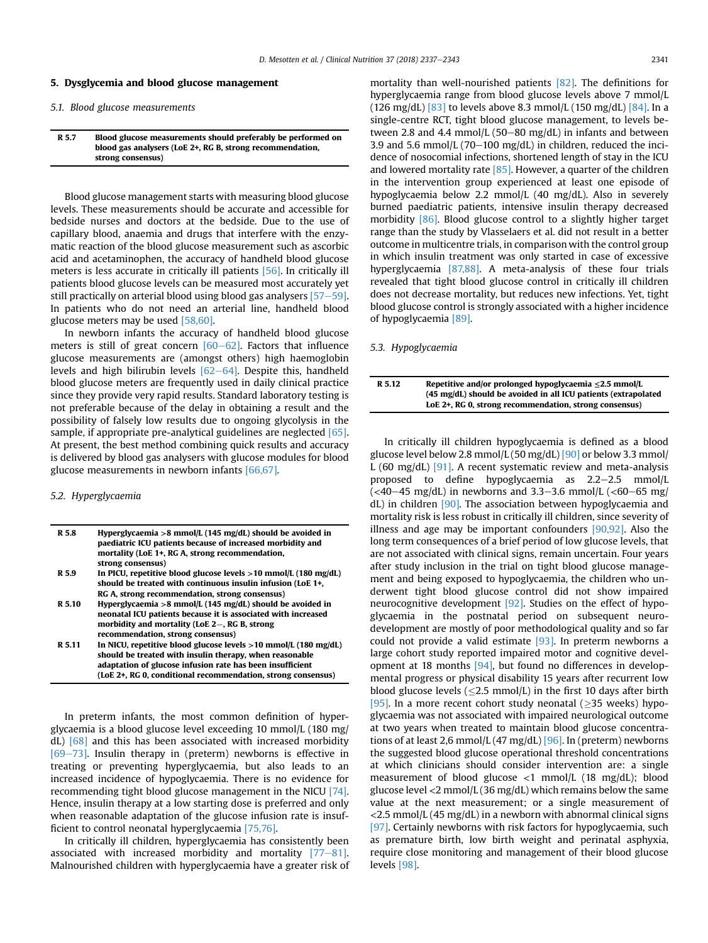#### 5. Dysglycemia and blood glucose management

### 5.1. Blood glucose measurements

#### R 5.7 Blood glucose measurements should preferably be performed on blood gas analysers (LoE 2+, RG B, strong recommendation, strong consensus)

Blood glucose management starts with measuring blood glucose levels. These measurements should be accurate and accessible for bedside nurses and doctors at the bedside. Due to the use of capillary blood, anaemia and drugs that interfere with the enzymatic reaction of the blood glucose measurement such as ascorbic acid and acetaminophen, the accuracy of handheld blood glucose meters is less accurate in critically ill patients [\[56\]](#page-6-0). In critically ill patients blood glucose levels can be measured most accurately yet still practically on arterial blood using blood gas analysers  $[57-59]$  $[57-59]$ . In patients who do not need an arterial line, handheld blood glucose meters may be used [\[58,60\]](#page-6-0).

In newborn infants the accuracy of handheld blood glucose meters is still of great concern  $[60-62]$  $[60-62]$  $[60-62]$ . Factors that influence glucose measurements are (amongst others) high haemoglobin levels and high bilirubin levels  $[62-64]$  $[62-64]$ . Despite this, handheld blood glucose meters are frequently used in daily clinical practice since they provide very rapid results. Standard laboratory testing is not preferable because of the delay in obtaining a result and the possibility of falsely low results due to ongoing glycolysis in the sample, if appropriate pre-analytical guidelines are neglected [\[65\].](#page-6-0) At present, the best method combining quick results and accuracy is delivered by blood gas analysers with glucose modules for blood glucose measurements in newborn infants [\[66,67\]](#page-6-0).

## 5.2. Hyperglycaemia

| R 5.8  | Hyperglycaemia > 8 mmol/L (145 mg/dL) should be avoided in<br>paediatric ICU patients because of increased morbidity and<br>mortality (LoE 1+, RG A, strong recommendation,<br>strong consensus)                                                          |
|--------|-----------------------------------------------------------------------------------------------------------------------------------------------------------------------------------------------------------------------------------------------------------|
| R 5.9  | In PICU, repetitive blood glucose levels $>10$ mmol/L (180 mg/dL)<br>should be treated with continuous insulin infusion (LoE 1+,<br>RG A, strong recommendation, strong consensus)                                                                        |
| R 5.10 | Hyperglycaemia > 8 mmol/L (145 mg/dL) should be avoided in<br>neonatal ICU patients because it is associated with increased<br>morbidity and mortality (LoE 2–, RG B, strong<br>recommendation, strong consensus)                                         |
| R 5.11 | In NICU, repetitive blood glucose levels $>10$ mmol/L (180 mg/dL)<br>should be treated with insulin therapy, when reasonable<br>adaptation of glucose infusion rate has been insufficient<br>(LoE 2+, RG 0, conditional recommendation, strong consensus) |

In preterm infants, the most common definition of hyperglycaemia is a blood glucose level exceeding 10 mmol/L (180 mg/  $dL$ )  $[68]$  and this has been associated with increased morbidity  $[69-73]$  $[69-73]$  $[69-73]$ . Insulin therapy in (preterm) newborns is effective in treating or preventing hyperglycaemia, but also leads to an increased incidence of hypoglycaemia. There is no evidence for recommending tight blood glucose management in the NICU [\[74\].](#page-6-0) Hence, insulin therapy at a low starting dose is preferred and only when reasonable adaptation of the glucose infusion rate is insufficient to control neonatal hyperglycaemia [\[75,76\].](#page-6-0)

In critically ill children, hyperglycaemia has consistently been associated with increased morbidity and mortality  $[77-81]$  $[77-81]$ . Malnourished children with hyperglycaemia have a greater risk of mortality than well-nourished patients [\[82\]](#page-6-0). The definitions for hyperglycaemia range from blood glucose levels above 7 mmol/L (126 mg/dL)  $[83]$  to levels above 8.3 mmol/L (150 mg/dL)  $[84]$ . In a single-centre RCT, tight blood glucose management, to levels between 2.8 and 4.4 mmol/L (50–80 mg/dL) in infants and between 3.9 and 5.6 mmol/L (70-100 mg/dL) in children, reduced the incidence of nosocomial infections, shortened length of stay in the ICU and lowered mortality rate  $[85]$ . However, a quarter of the children in the intervention group experienced at least one episode of hypoglycaemia below 2.2 mmol/L (40 mg/dL). Also in severely burned paediatric patients, intensive insulin therapy decreased morbidity [\[86\]](#page-6-0). Blood glucose control to a slightly higher target range than the study by Vlasselaers et al. did not result in a better outcome in multicentre trials, in comparison with the control group in which insulin treatment was only started in case of excessive hyperglycaemia [\[87,88\]](#page-6-0). A meta-analysis of these four trials revealed that tight blood glucose control in critically ill children does not decrease mortality, but reduces new infections. Yet, tight blood glucose control is strongly associated with a higher incidence of hypoglycaemia [\[89\].](#page-6-0)

## 5.3. Hypoglycaemia

| R 5.12 | Repetitive and/or prolonged hypoglycaemia $\leq$ 2.5 mmol/L<br>(45 mg/dL) should be avoided in all ICU patients (extrapolated |
|--------|-------------------------------------------------------------------------------------------------------------------------------|
|        | LoE 2+. RG 0. strong recommendation, strong consensus)                                                                        |

In critically ill children hypoglycaemia is defined as a blood glucose level below 2.8 mmol/L  $(50 \text{ mg/dL})$  [\[90\]](#page-6-0) or below 3.3 mmol/ L (60 mg/dL)  $[91]$ . A recent systematic review and meta-analysis proposed to define hypoglycaemia as  $2.2-2.5$  mmol/L  $\left($  <40–45 mg/dL) in newborns and 3.3–3.6 mmol/L (<60–65 mg/  $dL$ ) in children [\[90\].](#page-6-0) The association between hypoglycaemia and mortality risk is less robust in critically ill children, since severity of illness and age may be important confounders [\[90,92\]](#page-6-0). Also the long term consequences of a brief period of low glucose levels, that are not associated with clinical signs, remain uncertain. Four years after study inclusion in the trial on tight blood glucose management and being exposed to hypoglycaemia, the children who underwent tight blood glucose control did not show impaired neurocognitive development [\[92\]](#page-6-0). Studies on the effect of hypoglycaemia in the postnatal period on subsequent neurodevelopment are mostly of poor methodological quality and so far could not provide a valid estimate [\[93\]](#page-6-0). In preterm newborns a large cohort study reported impaired motor and cognitive development at 18 months [\[94\]](#page-6-0), but found no differences in developmental progress or physical disability 15 years after recurrent low blood glucose levels  $\langle$  <2.5 mmol/L) in the first 10 days after birth [\[95\].](#page-6-0) In a more recent cohort study neonatal ( $\geq$ 35 weeks) hypoglycaemia was not associated with impaired neurological outcome at two years when treated to maintain blood glucose concentra-tions of at least 2,6 mmol/L (47 mg/dL) [\[96\].](#page-6-0) In (preterm) newborns the suggested blood glucose operational threshold concentrations at which clinicians should consider intervention are: a single measurement of blood glucose <1 mmol/L (18 mg/dL); blood glucose level <2 mmol/L (36 mg/dL) which remains below the same value at the next measurement; or a single measurement of  $<$  2.5 mmol/L (45 mg/dL) in a newborn with abnormal clinical signs [\[97\].](#page-6-0) Certainly newborns with risk factors for hypoglycaemia, such as premature birth, low birth weight and perinatal asphyxia, require close monitoring and management of their blood glucose levels [\[98\].](#page-6-0)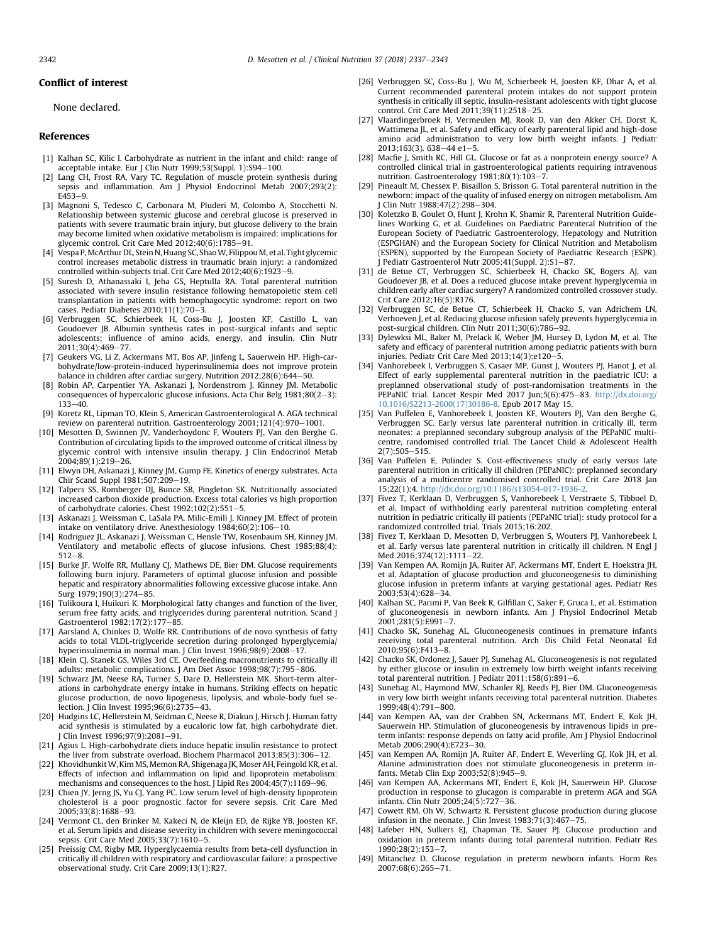<span id="page-5-0"></span>None declared.

### References

- [1] Kalhan SC, Kilic I. Carbohydrate as nutrient in the infant and child: range of acceptable intake. Eur J Clin Nutr 1999;53(Suppl. 1):S94-100.
- [2] Lang CH, Frost RA, Vary TC. Regulation of muscle protein synthesis during sepsis and inflammation. Am J Physiol Endocrinol Metab 2007;293(2):  $F453 - 9$
- [3] Magnoni S, Tedesco C, Carbonara M, Pluderi M, Colombo A, Stocchetti N. Relationship between systemic glucose and cerebral glucose is preserved in patients with severe traumatic brain injury, but glucose delivery to the brain may become limited when oxidative metabolism is impaired: implications for glycemic control. Crit Care Med 2012;40(6):1785-91.
- [4] Vespa P, McArthur DL, Stein N, Huang SC, Shao W, Filippou M, et al. Tight glycemic control increases metabolic distress in traumatic brain injury: a randomized controlled within-subjects trial. Crit Care Med 2012:40(6):1923-9.
- [5] Suresh D, Athanassaki I, Jeha GS, Heptulla RA. Total parenteral nutrition associated with severe insulin resistance following hematopoietic stem cell transplantation in patients with hemophagocytic syndrome: report on two cases. Pediatr Diabetes 2010;11(1):70-3.
- [6] Verbruggen SC, Schierbeek H, Coss-Bu J, Joosten KF, Castillo L, van Goudoever JB. Albumin synthesis rates in post-surgical infants and septic adolescents; influence of amino acids, energy, and insulin. Clin Nutr 2011;30(4):469-77.
- [7] Geukers VG, Li Z, Ackermans MT, Bos AP, Jinfeng L, Sauerwein HP. High-carbohydrate/low-protein-induced hyperinsulinemia does not improve protein balance in children after cardiac surgery. Nutrition 2012;28(6):644-50.
- [8] Robin AP, Carpentier YA, Askanazi J, Nordenstrom J, Kinney JM. Metabolic consequences of hypercaloric glucose infusions. Acta Chir Belg  $1981;80(2-3)$ :  $133 - 40.$
- [9] Koretz RL, Lipman TO, Klein S, American Gastroenterological A. AGA technical review on parenteral nutrition. Gastroenterology 2001;121(4):970-1001.
- [10] Mesotten D, Swinnen JV, Vanderhoydonc F, Wouters PJ, Van den Berghe G. Contribution of circulating lipids to the improved outcome of critical illness by glycemic control with intensive insulin therapy. J Clin Endocrinol Metab 2004;89(1):219-26.
- [11] Elwyn DH, Askanazi J, Kinney JM, Gump FE. Kinetics of energy substrates. Acta Chir Scand Suppl 1981;507:209-19.
- [12] Talpers SS, Romberger DJ, Bunce SB, Pingleton SK. Nutritionally associated increased carbon dioxide production. Excess total calories vs high proportion of carbohydrate calories. Chest  $1992;102(2):551-5$ .
- [13] Askanazi J, Weissman C, LaSala PA, Milic-Emili J, Kinney JM. Effect of protein intake on ventilatory drive. Anesthesiology  $1984;60(2):106-10$ .
- [14] Rodriguez JL, Askanazi J, Weissman C, Hensle TW, Rosenbaum SH, Kinney JM. Ventilatory and metabolic effects of glucose infusions. Chest 1985;88(4):  $512 - 8$
- [15] Burke JF, Wolfe RR, Mullany CJ, Mathews DE, Bier DM. Glucose requirements following burn injury. Parameters of optimal glucose infusion and possible hepatic and respiratory abnormalities following excessive glucose intake. Ann Surg 1979;190(3):274-85.
- [16] Tulikoura I, Huikuri K. Morphological fatty changes and function of the liver, serum free fatty acids, and triglycerides during parenteral nutrition. Scand J Gastroenterol 1982;17(2):177-85.
- [17] Aarsland A, Chinkes D, Wolfe RR. Contributions of de novo synthesis of fatty acids to total VLDL-triglyceride secretion during prolonged hyperglycemia/ hyperinsulinemia in normal man. J Clin Invest 1996;98(9):2008-17.
- [18] Klein CJ, Stanek GS, Wiles 3rd CE. Overfeeding macronutrients to critically ill adults: metabolic complications. J Am Diet Assoc 1998;98(7):795-806.
- [19] Schwarz JM, Neese RA, Turner S, Dare D, Hellerstein MK. Short-term alterations in carbohydrate energy intake in humans. Striking effects on hepatic glucose production, de novo lipogenesis, lipolysis, and whole-body fuel selection. J Clin Invest  $1995;96(6):2735-43$ .
- [20] Hudgins LC, Hellerstein M, Seidman C, Neese R, Diakun J, Hirsch J. Human fatty acid synthesis is stimulated by a eucaloric low fat, high carbohydrate diet. J Clin Invest 1996;97(9):2081-91.
- [21] Agius L. High-carbohydrate diets induce hepatic insulin resistance to protect the liver from substrate overload. Biochem Pharmacol  $2013;85(3):306-12$ .
- [22] KhovidhunkitW, Kim MS, Memon RA, Shigenaga JK, Moser AH, Feingold KR, et al. Effects of infection and inflammation on lipid and lipoprotein metabolism: mechanisms and consequences to the host. I Lipid Res 2004;45(7):1169–96.
- [23] Chien JY, Jerng JS, Yu CJ, Yang PC. Low serum level of high-density lipoprotein cholesterol is a poor prognostic factor for severe sepsis. Crit Care Med 2005;33(8):1688-93.
- [24] Vermont CL, den Brinker M, Kakeci N, de Kleijn ED, de Rijke YB, Joosten KF, et al. Serum lipids and disease severity in children with severe meningococcal sepsis. Crit Care Med 2005;33(7):1610-5.
- [25] Preissig CM, Rigby MR. Hyperglycaemia results from beta-cell dysfunction in critically ill children with respiratory and cardiovascular failure: a prospective observational study. Crit Care 2009;13(1):R27.
- [26] Verbruggen SC, Coss-Bu J, Wu M, Schierbeek H, Joosten KF, Dhar A, et al. Current recommended parenteral protein intakes do not support protein synthesis in critically ill septic, insulin-resistant adolescents with tight glucose control. Crit Care Med  $2011;39(11):2518-25$ .
- [27] Vlaardingerbroek H, Vermeulen MJ, Rook D, van den Akker CH, Dorst K, Wattimena JL, et al. Safety and efficacy of early parenteral lipid and high-dose amino acid administration to very low birth weight infants. J Pediatr  $2013:163(3)$ . 638-44 e1-5.
- [28] Macfie J, Smith RC, Hill GL. Glucose or fat as a nonprotein energy source? A controlled clinical trial in gastroenterological patients requiring intravenous
- nutrition. Gastroenterology 1981;80(1):103–7.<br>[29] Pineault M, Chessex P, Bisaillon S, Brisson G. Total parenteral nutrition in the newborn: impact of the quality of infused energy on nitrogen metabolism. Am J Clin Nutr  $1988.47(2)$ : 298-304
- [30] Koletzko B, Goulet O, Hunt J, Krohn K, Shamir R, Parenteral Nutrition Guidelines Working G, et al. Guidelines on Paediatric Parenteral Nutrition of the European Society of Paediatric Gastroenterology, Hepatology and Nutrition (ESPGHAN) and the European Society for Clinical Nutrition and Metabolism (ESPEN), supported by the European Society of Paediatric Research (ESPR).<br>J Pediatr Gastroenterol Nutr 2005;41(Suppl. 2):S1—87.
- [31] de Betue CT, Verbruggen SC, Schierbeek H, Chacko SK, Bogers AJ, van Goudoever JB, et al. Does a reduced glucose intake prevent hyperglycemia in children early after cardiac surgery? A randomized controlled crossover study. Crit Care 2012;16(5):R176.
- [32] Verbruggen SC, de Betue CT, Schierbeek H, Chacko S, van Adrichem LN, Verhoeven J, et al. Reducing glucose infusion safely prevents hyperglycemia in post-surgical children. Clin Nutr 2011;30(6):786-92.
- [33] Dylewksi ML, Baker M, Prelack K, Weber JM, Hursey D, Lydon M, et al. The safety and efficacy of parenteral nutrition among pediatric patients with burn injuries. Pediatr Crit Care Med  $2013;14(3):e120-5$ .
- [34] Vanhorebeek I, Verbruggen S, Casaer MP, Gunst J, Wouters PJ, Hanot J, et al. Effect of early supplemental parenteral nutrition in the paediatric ICU: a preplanned observational study of post-randomisation treatments in the PEPaNIC trial. Lancet Respir Med 2017 Jun;5(6):475-83. [http://dx.doi.org/](http://dx.doi.org/10.1016/S2213-2600(17)30186-8) [10.1016/S2213-2600\(17\)30186-8](http://dx.doi.org/10.1016/S2213-2600(17)30186-8). Epub 2017 May 15.
- [35] Van Puffelen E, Vanhorebeek I, Joosten KF, Wouters PJ, Van den Berghe G, Verbruggen SC. Early versus late parenteral nutrition in critically ill, term neonates: a preplanned secondary subgroup analysis of the PEPaNIC multicentre, randomised controlled trial. The Lancet Child & Adolescent Health  $2(7):505 - 515.$
- [36] Van Puffelen E, Polinder S. Cost-effectiveness study of early versus late parenteral nutrition in critically ill children (PEPaNIC): preplanned secondary analysis of a multicentre randomised controlled trial. Crit Care 2018 Jan 15;22(1):4. [http://dx.doi.org/10.1186/s13054-017-1936-2.](http://dx.doi.org/10.1186/s13054-017-1936-2)
- [37] Fivez T, Kerklaan D, Verbruggen S, Vanhorebeek I, Verstraete S, Tibboel D, et al. Impact of withholding early parenteral nutrition completing enteral nutrition in pediatric critically ill patients (PEPaNIC trial): study protocol for a randomized controlled trial. Trials 2015;16:202.
- [38] Fivez T, Kerklaan D, Mesotten D, Verbruggen S, Wouters PJ, Vanhorebeek I, et al. Early versus late parenteral nutrition in critically ill children. N Engl J Med 2016;374(12):1111-22.
- [39] Van Kempen AA, Romijn JA, Ruiter AF, Ackermans MT, Endert E, Hoekstra JH, et al. Adaptation of glucose production and gluconeogenesis to diminishing glucose infusion in preterm infants at varying gestational ages. Pediatr Res 2003:53(4):628-34.
- [40] Kalhan SC, Parimi P, Van Beek R, Gilfillan C, Saker F, Gruca L, et al. Estimation of gluconeogenesis in newborn infants. Am J Physiol Endocrinol Metab 2001;281(5):E991-7.
- [41] Chacko SK, Sunehag AL. Gluconeogenesis continues in premature infants receiving total parenteral nutrition. Arch Dis Child Fetal Neonatal Ed  $2010;95(6);F413-8.$
- [42] Chacko SK, Ordonez J, Sauer PJ, Sunehag AL. Gluconeogenesis is not regulated by either glucose or insulin in extremely low birth weight infants receiving total parenteral nutrition. J Pediatr  $2011,158(6):891-6$ .
- [43] Sunehag AL, Haymond MW, Schanler RJ, Reeds PJ, Bier DM. Gluconeogenesis in very low birth weight infants receiving total parenteral nutrition. Diabetes 1999:48(4):791-800.
- [44] van Kempen AA, van der Crabben SN, Ackermans MT, Endert E, Kok JH, Sauerwein HP. Stimulation of gluconeogenesis by intravenous lipids in preterm infants: response depends on fatty acid profile. Am J Physiol Endocrinol Metab 2006;290(4):E723-30.
- [45] van Kempen AA, Romijn JA, Ruiter AF, Endert E, Weverling GJ, Kok JH, et al. Alanine administration does not stimulate gluconeogenesis in preterm infants. Metab Clin Exp 2003;52(8):945-9.
- [46] van Kempen AA, Ackermans MT, Endert E, Kok JH, Sauerwein HP. Glucose production in response to glucagon is comparable in preterm AGA and SGA infants. Clin Nutr  $2005;24(5);727-36$ .
- [47] Cowett RM, Oh W, Schwartz R. Persistent glucose production during glucose infusion in the neonate. J Clin Invest  $1983$ ; $71(3)$ : $467-75$ .
- [48] Lafeber HN, Sulkers EJ, Chapman TE, Sauer PJ. Glucose production and oxidation in preterm infants during total parenteral nutrition. Pediatr Res 1990;28(2):153-7.
- [49] Mitanchez D. Glucose regulation in preterm newborn infants. Horm Res 2007:68(6):265-71.